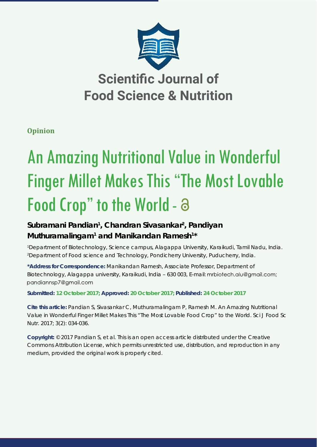

**Opinion**

# An Amazing Nutritional Value in Wonderful Finger Millet Makes This "The Most Lovable Food Crop" to the World - a

# Subramani Pandian<sup>1</sup>, Chandran Sivasankar<sup>2</sup>, Pandiyan Muthuramalingam<sup>1</sup> and Manikandan Ramesh<sup>1\*</sup>

1 Department of Biotechnology, Science campus, Alagappa University, Karaikudi, Tamil Nadu, India. 2 Department of Food science and Technology, Pondicherry University, Puducherry, India.

**\*Address for Correspondence:** Manikandan Ramesh, Associate Professor, Department of Biotechnology, Alagappa university, Karaikudi, India - 630 003, E-mail: mrbiotech.alu@gmail.com; pandiannsp7@gmail.com

**Submitted: 12 October 2017; Approved: 20 October 2017; Published: 24 October 2017**

**Cite this article:** Pandian S, Sivasankar C, Muthuramalingam P, Ramesh M. An Amazing Nutritional Value in Wonderful Finger Millet Makes This "The Most Lovable Food Crop" to the World. Sci J Food Sc Nutr. 2017; 3(2): 034-036.

**Copyright:** © 2017 Pandian S, et al. This is an open access article distributed under the Creative Commons Attribution License, which permits unrestricted use, distribution, and reproduction in any medium, provided the original work is properly cited.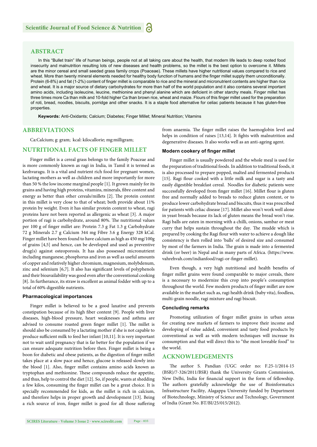# **ABSTRACT**

In this "Bullet train" life of human beings, people not at all taking care about the health, that modern life leads to deep rooted food insecurity and malnutrition resulting lots of new diseases and health problems, so the millet is the best option to overcome it. Millets are the minor cereal and small seeded grass family crops (Poaceae). These millets have higher nutritional values compared to rice and wheat. More than twenty mineral elements needed for healthy body function of humans and the finger millet supply them unconditionally. Protein (6-8%) and fat (1-2%) content of finger millet is comparable to rice and the mineral and micronutrient contents are higher than rice and wheat. It is a major source of dietary carbohydrates for more than half of the world population and it also contains several important amino acids, including isoleucine, leucine, methionine and phenyl alanine which are deficient in other starchy meals. Finger millet has three times more Ca than milk and 10-fold higher Ca than brown rice, wheat and maize. Flours of this finger millet used for the preparation of roti, bread, noodles, biscuits, porridge and other snacks. It is a staple food alternative for celiac patients because it has gluten-free properties.

**Keywords:** Anti-Oxidants; Calcium; Diabetes; Finger Millet; Mineral Nutrition; Vitamins

### **ABBREVIATIONS**

Ca:Calcium; g: gram; kcal: kilocallorie; mg:milligram;

#### **NUTRITIONAL FACTS OF FINGER MILLET**

Finger millet is a cereal grass belongs to the family Poaceae and is more commonly known as ragi in India, in Tamil it is termed as kezhvaragu. It is a vital and nutrient rich food for pregnant women, lactating mothers as well as children and more importantly for more than 50 % the low income marginal people [1]. It grown mainly for its grains and having high proteins, vitamins, minerals, fibre content and energy as better than other cereals/millets [2]. The protein content in this millet is very close to that of wheat; both provide about 11% protein by weight. Even it has similar protein content to wheat, ragi proteins have not been reported as allergenic as wheat [3]. A major portion of ragi is carbohydrate, around 80%. The nutritional values per 100 g of finger millet are: Protein 7.3 g Fat 1.3 g Carbohydrate 72 g Minerals 2.7 g Calcium 344 mg Fibre 3.6 g Energy 328 kCal. Finger millet have been found to have calcium as high as 450 mg/100g of grains [4,5] and hence, can be developed and used as preventive drug(s) against osteoporosis. It has also possessed micronutrient including manganese, phosphorus and iron as well as useful amounts of copper and relatively higher chromium, magnesium, molybdenum, zinc and selenium [6,7]. It also has significant levels of polyphenols and their bioavailability was good even after the conventional cooking [8]. In furtherance, its straw is excellent as animal fodder with up to a total of 60% digestible nutrients.

#### **Pharmacological importances**

Finger millet is believed to be a good laxative and prevents constipation because of its high fiber content [9]. People with liver diseases, high-blood pressure, heart weaknesses and asthma are advised to consume roasted green finger millet [1]. The millet is should also be consumed by a lactating mother if she is not capable to produce sufficient milk to feed her infant [10,11]. It is very important not to wait until pregnancy that is far better for the population if we can ensure adequate nutrition before then. Finger millet is being a boon for diabetic and obese patients, as the digestion of finger millet takes place at a slow pace and hence, glucose is released slowly into the blood [1]. Also, finger millet contains amino acids known as tryptophan and methionine. These compounds reduce the appetite, and thus, help to control the diet [12]. So, if people, wants at shedding a few kilos, consuming the finger millet can be a great choice. It is specially recommended for kids, as the millet is rich in calcium, and therefore helps in proper growth and development [13]. Being a rich source of iron, finger millet is good for all those suffering from anaemia. The finger millet raises the haemoglobin level and helps in condition of raises [13,14]. It fights with malnutrition and degenerative diseases. It also works well as an anti-ageing agent.

#### **Modern cookery of finger millet**

Finger millet is usually powdered and the whole meal is used for the preparation of traditional foods. In addition to traditional foods, it is also processed to prepare popped, malted and fermented products [15]. Ragi flour cooked with a little milk and sugar is a tasty and easily digestible breakfast cereal. Noodles for diabetic patients were successfully developed from finger millet [16]. Millet flour is gluten free and normally added to breads to reduce gluten content, or to produce lower carbohydrate bread and biscuits, thus it was prescribed for patients with celiac disease [17]. Millet also won't work well alone in yeast breads because its lack of gluten means the bread won't rise. Ragi balls are eaten in morning with a chilli, onions, sambar or meat curry that helps sustain throughout the day. The mudde which is prepared by cooking the Ragi flour with water to achieve a dough like consistency is then rolled into 'balls' of desired size and consumed by most of the farmers in India. The grain is made into a fermented drink (or beer) in Nepal and in many parts of Africa. (https://www. vahrehvah.com/indianfood/ragi-or-finger-millet).

Even though, a very high nutritional and health benefits of finger millet grains were found comparable to major cereals, there is a necessary to modernize this crop into people's consumption throughout the world. Few modern products of finger millet are now available in the market such as, ragi health drink (baby vita), foodless, multi-grain noodle, ragi mixture and ragi biscuit.

#### **Concluding remarks**

Promoting utilization of finger millet grains in urban areas for creating new markets of farmers to improve their income and developing of value added, convenient and tasty food products by conventional as well as with modern techniques will increase its consumption and that will direct this to "the most loveable food" to the world.

# **ACKNOWLEDGEMENTS**

The author S. Pandian (UGC order no: F.25-1/2014-15 (BSR)/7-326/2011/BSR) thank the University Grants Commission, New Delhi, India for financial support in the form of fellowship. The authors gratefully acknowledge the use of Bioinformatics Infrastructure Facility, Alagappa University funded by Department of Biotechnology, Ministry of Science and Technology, Government of India (Grant No. BT/BI/25/015/2012).